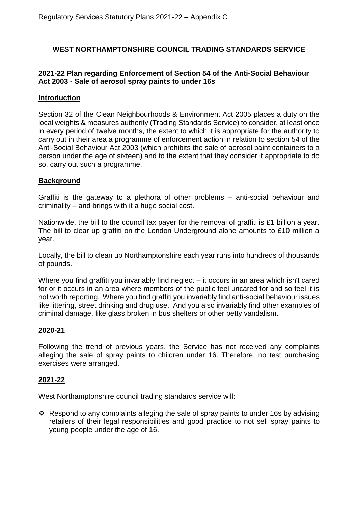# **WEST NORTHAMPTONSHIRE COUNCIL TRADING STANDARDS SERVICE**

### **2021-22 Plan regarding Enforcement of Section 54 of the Anti-Social Behaviour Act 2003 - Sale of aerosol spray paints to under 16s**

#### **Introduction**

Section 32 of the Clean Neighbourhoods & Environment Act 2005 places a duty on the local weights & measures authority (Trading Standards Service) to consider, at least once in every period of twelve months, the extent to which it is appropriate for the authority to carry out in their area a programme of enforcement action in relation to section 54 of the Anti-Social Behaviour Act 2003 (which prohibits the sale of aerosol paint containers to a person under the age of sixteen) and to the extent that they consider it appropriate to do so, carry out such a programme.

### **Background**

Graffiti is the gateway to a plethora of other problems – anti-social behaviour and criminality – and brings with it a huge social cost.

Nationwide, the bill to the council tax payer for the removal of graffiti is £1 billion a year. The bill to clear up graffiti on the London Underground alone amounts to £10 million a year.

Locally, the bill to clean up Northamptonshire each year runs into hundreds of thousands of pounds.

Where you find graffiti you invariably find neglect – it occurs in an area which isn't cared for or it occurs in an area where members of the public feel uncared for and so feel it is not worth reporting. Where you find graffiti you invariably find anti-social behaviour issues like littering, street drinking and drug use. And you also invariably find other examples of criminal damage, like glass broken in bus shelters or other petty vandalism.

### **2020-21**

Following the trend of previous years, the Service has not received any complaints alleging the sale of spray paints to children under 16. Therefore, no test purchasing exercises were arranged.

### **2021-22**

West Northamptonshire council trading standards service will:

Respond to any complaints alleging the sale of spray paints to under 16s by advising retailers of their legal responsibilities and good practice to not sell spray paints to young people under the age of 16.